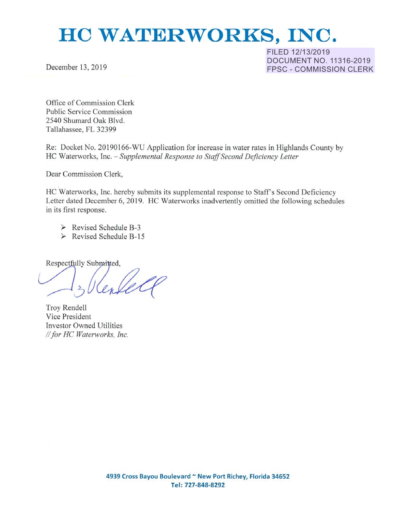# **HO WATERWORKS, INC.**

December 13, 2019

**FILED 12/13/2019 DOCUMENT NO. 11316-2019 FPSC - COMMISSION CLERK** 

Office of Commission Clerk Public Service Commission 2540 Shumard Oak Blvd. Tallahassee, FL 32399

Re: Docket No. 20190166-WU Application for increase in water rates in Highlands County by HC Waterworks, Inc. *-Supplemental Response to Staff Second Deficiency Letter* 

Dear Commission Clerk,

HC Waterworks, Inc. hereby submits its supplemental response to Staff's Second Deficiency Letter dated December 6, 2019. HC Waterworks inadvertently omitted the following schedules in its first response.

- *»* Revised Schedule 8-3
- **:i>** Revised Schedule B-15

Respectfully Submitted,

Troy Rendell Vice President Investor Owned Utilities II *for HC Waterworks, Inc.*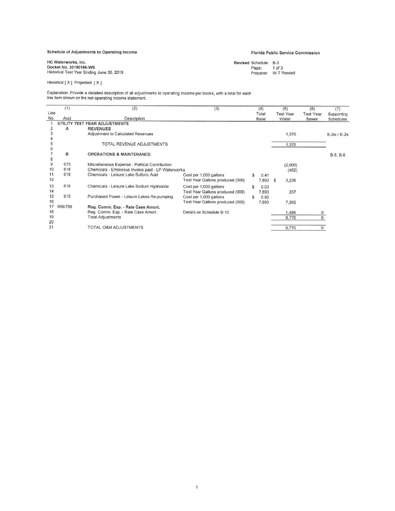#### Schedule of Adjustments to Operating Income

## **Florida Public Service Commission**

Revised Schedule: B-3<br>Page: 1 of 3<br>Preparer: WT Rendell

HC Waterworks, Inc.<br>Docket No. 20190166-WS<br>Historical Test Year Ending June 30, 2019

Historical [X] Projected [X]

Explanation: Provide a detailed description of all adjustments to operating income per books, with a total for each<br>line item shown on the net operating income statement.

|             | (1)     | (2)                                                | (3)                              |     | (4)           | (5)                       | (6)                       | (7)                     |
|-------------|---------|----------------------------------------------------|----------------------------------|-----|---------------|---------------------------|---------------------------|-------------------------|
| Line<br>No. | Acct    | Description                                        |                                  |     | Total<br>Base | <b>Test Year</b><br>Water | <b>Test Year</b><br>Sewer | Supporting<br>Schedules |
|             |         | UTILITY TEST YEAR ADJUSTMENTS                      |                                  |     |               |                           |                           |                         |
|             | A       | <b>REVENUES</b>                                    |                                  |     |               |                           |                           |                         |
|             |         | Adjustment to Calculated Revenues                  |                                  |     |               | 1,570                     |                           | $E-2w$ / $E-2s$         |
|             |         |                                                    |                                  |     |               |                           |                           |                         |
|             |         | TOTAL REVENUE ADJUSTMENTS                          |                                  |     |               | 1,570                     |                           |                         |
|             |         |                                                    |                                  |     |               |                           |                           |                         |
|             | в       | <b>OPERATIONS &amp; MAINTENANCE</b>                |                                  |     |               |                           |                           | B-5, B-6                |
|             |         |                                                    |                                  |     |               |                           |                           |                         |
| 9           | 675     | Miscellaneous Expense - Political Contribution     |                                  |     |               | (2,000)                   |                           |                         |
| 10          | 618     | Chemicals - Erroneous Invoice paid - LP Waterworks |                                  |     |               | (452)                     |                           |                         |
| 11          | 618     | Chemicals - Leisure Lake Sulfuric Acid             | Cost per 1,000 gallons           |     | 0.41          |                           |                           |                         |
| 12          |         |                                                    | Test Year Gallons produced (000) |     | 7,893         | \$<br>3,236               |                           |                         |
| 13          | 618     | Chemicals - Leisure Lake Sodium Hydroxide          | Cost per 1,000 gallons           | \$. | 0.03          |                           |                           |                         |
| 14          |         |                                                    | Test Year Gallons produced (000) |     | 7,893         | 237                       |                           |                         |
| 15          | 615     | Purchased Power - Leisure Lakes Re-pumping         | Cost per 1,000 gallons           | \$  | 0.92          |                           |                           |                         |
| 16          |         |                                                    | Test Year Gallons produced (000) |     | 7,893         | 7,262                     |                           |                         |
| 17          | 666/766 | Reg. Comm. Exp. - Rate Case Amort.                 |                                  |     |               |                           |                           |                         |
| 18          |         | Reg. Comm. Exp. - Rate Case Amort.                 | Details on Schedule B-10         |     |               | 1,486                     | $\circ$                   |                         |
| 19          |         | <b>Total Adjustments</b>                           |                                  |     |               | 9,770                     | 0                         |                         |
| 20          |         |                                                    |                                  |     |               |                           |                           |                         |
| 21          |         | TOTAL O&M ADJUSTMENTS                              |                                  |     |               | 9,770                     | $\circ$                   |                         |
|             |         |                                                    |                                  |     |               |                           |                           |                         |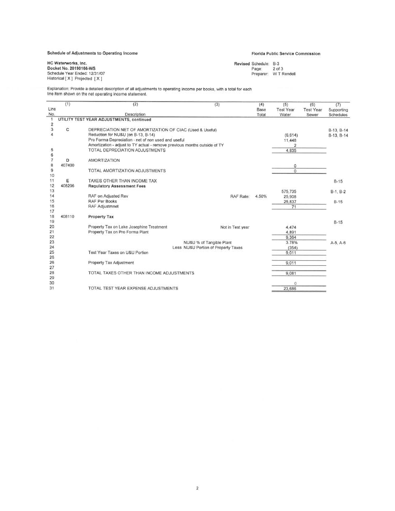## Schedule of Adjustments to Operating Income

#### Florida Public Service Commission

HC Waterworks, Inc.<br>Docket No. 20190166-WS Schedule Year Ended: 12/31/07 Historical [ X ] Projected [ X ]

Revised Schedule: B-3<br>Page: 2 of 3<br>Preparer: WT Rendell

Explanation: Provide a detailed description of all adjustments to operating income per books, with a total for each<br>line item shown on the net operating income statement.

| Line<br>Base<br><b>Test Year</b><br><b>Test Year</b><br>No.<br>Description<br>Total<br>Water<br>Sewer<br>Schedules<br>1<br>UTILITY TEST YEAR ADJUSTMENTS, continued<br>$\overline{\mathbf{2}}$<br>3<br>$\mathbf C$<br>DEPRECIATION NET OF AMORTIZATION OF CIAC (Used & Useful)<br>B-13, B-14<br>Reduction for NU&U (on B-13, B-14)<br>(6, 614)<br>B-13, B-14<br>Pro Forma Depreciation - net of non used and useful<br>11,448<br>Amortization - adjust to TY actual - remove previous months outside of TY<br>$\overline{2}$<br>5<br>TOTAL DEPRECIATION ADJUSTMENTS<br>4,835<br>6<br>$\overline{7}$<br><b>AMORTIZATION</b><br>D<br>8<br>407400<br>0<br>$\mathsf g$<br>$\overline{0}$<br>TOTAL AMORTIZATION ADJUSTMENTS<br>10<br>11<br>Е<br>TAXES OTHER THAN INCOME TAX<br>$B-15$<br>12<br>408206<br><b>Regulatory Assessment Fees</b><br>13<br>575,735<br>$B-1, B-2$<br>14<br>RAF on Adjusted Rev<br>RAF Rate:<br>4.50%<br>25,908<br>15<br>RAF Per Books<br>25,837<br>$B-15$<br>16<br><b>RAF Adjustmnet</b><br>71<br>17<br>18<br>408110<br><b>Property Tax</b><br>19<br>$B-15$<br>20<br>Property Tax on Lake Josephine Treatment<br>Not in Test year<br>4,474<br>21<br>Property Tax on Pro Forma Plant<br>4.891<br>22<br>9.364<br>23<br>NU&U % of Tangible Plant<br>3.78%<br>$A-5, A-6$<br>24<br>Less NU&U Portion of Property Taxes<br>(354)<br>25<br>Test Year Taxes on U&U Portion<br>9,011<br>26<br>26<br>Property Tax Adjustment<br>9,011<br>27<br>28<br>TOTAL TAXES OTHER THAN INCOME ADJUSTMENTS<br>9.081<br>29<br>30<br>$\circ$<br>31<br>TOTAL TEST YEAR EXPENSE ADJUSTMENTS<br>23,686 | (1) | (2) | (3) | (4) | (5) | (6) | (7)        |
|------------------------------------------------------------------------------------------------------------------------------------------------------------------------------------------------------------------------------------------------------------------------------------------------------------------------------------------------------------------------------------------------------------------------------------------------------------------------------------------------------------------------------------------------------------------------------------------------------------------------------------------------------------------------------------------------------------------------------------------------------------------------------------------------------------------------------------------------------------------------------------------------------------------------------------------------------------------------------------------------------------------------------------------------------------------------------------------------------------------------------------------------------------------------------------------------------------------------------------------------------------------------------------------------------------------------------------------------------------------------------------------------------------------------------------------------------------------------------------------------------------------------------------------------------------------------------------------------|-----|-----|-----|-----|-----|-----|------------|
|                                                                                                                                                                                                                                                                                                                                                                                                                                                                                                                                                                                                                                                                                                                                                                                                                                                                                                                                                                                                                                                                                                                                                                                                                                                                                                                                                                                                                                                                                                                                                                                                |     |     |     |     |     |     | Supporting |
|                                                                                                                                                                                                                                                                                                                                                                                                                                                                                                                                                                                                                                                                                                                                                                                                                                                                                                                                                                                                                                                                                                                                                                                                                                                                                                                                                                                                                                                                                                                                                                                                |     |     |     |     |     |     |            |
|                                                                                                                                                                                                                                                                                                                                                                                                                                                                                                                                                                                                                                                                                                                                                                                                                                                                                                                                                                                                                                                                                                                                                                                                                                                                                                                                                                                                                                                                                                                                                                                                |     |     |     |     |     |     |            |
|                                                                                                                                                                                                                                                                                                                                                                                                                                                                                                                                                                                                                                                                                                                                                                                                                                                                                                                                                                                                                                                                                                                                                                                                                                                                                                                                                                                                                                                                                                                                                                                                |     |     |     |     |     |     |            |
|                                                                                                                                                                                                                                                                                                                                                                                                                                                                                                                                                                                                                                                                                                                                                                                                                                                                                                                                                                                                                                                                                                                                                                                                                                                                                                                                                                                                                                                                                                                                                                                                |     |     |     |     |     |     |            |
|                                                                                                                                                                                                                                                                                                                                                                                                                                                                                                                                                                                                                                                                                                                                                                                                                                                                                                                                                                                                                                                                                                                                                                                                                                                                                                                                                                                                                                                                                                                                                                                                |     |     |     |     |     |     |            |
|                                                                                                                                                                                                                                                                                                                                                                                                                                                                                                                                                                                                                                                                                                                                                                                                                                                                                                                                                                                                                                                                                                                                                                                                                                                                                                                                                                                                                                                                                                                                                                                                |     |     |     |     |     |     |            |
|                                                                                                                                                                                                                                                                                                                                                                                                                                                                                                                                                                                                                                                                                                                                                                                                                                                                                                                                                                                                                                                                                                                                                                                                                                                                                                                                                                                                                                                                                                                                                                                                |     |     |     |     |     |     |            |
|                                                                                                                                                                                                                                                                                                                                                                                                                                                                                                                                                                                                                                                                                                                                                                                                                                                                                                                                                                                                                                                                                                                                                                                                                                                                                                                                                                                                                                                                                                                                                                                                |     |     |     |     |     |     |            |
|                                                                                                                                                                                                                                                                                                                                                                                                                                                                                                                                                                                                                                                                                                                                                                                                                                                                                                                                                                                                                                                                                                                                                                                                                                                                                                                                                                                                                                                                                                                                                                                                |     |     |     |     |     |     |            |
|                                                                                                                                                                                                                                                                                                                                                                                                                                                                                                                                                                                                                                                                                                                                                                                                                                                                                                                                                                                                                                                                                                                                                                                                                                                                                                                                                                                                                                                                                                                                                                                                |     |     |     |     |     |     |            |
|                                                                                                                                                                                                                                                                                                                                                                                                                                                                                                                                                                                                                                                                                                                                                                                                                                                                                                                                                                                                                                                                                                                                                                                                                                                                                                                                                                                                                                                                                                                                                                                                |     |     |     |     |     |     |            |
|                                                                                                                                                                                                                                                                                                                                                                                                                                                                                                                                                                                                                                                                                                                                                                                                                                                                                                                                                                                                                                                                                                                                                                                                                                                                                                                                                                                                                                                                                                                                                                                                |     |     |     |     |     |     |            |
|                                                                                                                                                                                                                                                                                                                                                                                                                                                                                                                                                                                                                                                                                                                                                                                                                                                                                                                                                                                                                                                                                                                                                                                                                                                                                                                                                                                                                                                                                                                                                                                                |     |     |     |     |     |     |            |
|                                                                                                                                                                                                                                                                                                                                                                                                                                                                                                                                                                                                                                                                                                                                                                                                                                                                                                                                                                                                                                                                                                                                                                                                                                                                                                                                                                                                                                                                                                                                                                                                |     |     |     |     |     |     |            |
|                                                                                                                                                                                                                                                                                                                                                                                                                                                                                                                                                                                                                                                                                                                                                                                                                                                                                                                                                                                                                                                                                                                                                                                                                                                                                                                                                                                                                                                                                                                                                                                                |     |     |     |     |     |     |            |
|                                                                                                                                                                                                                                                                                                                                                                                                                                                                                                                                                                                                                                                                                                                                                                                                                                                                                                                                                                                                                                                                                                                                                                                                                                                                                                                                                                                                                                                                                                                                                                                                |     |     |     |     |     |     |            |
|                                                                                                                                                                                                                                                                                                                                                                                                                                                                                                                                                                                                                                                                                                                                                                                                                                                                                                                                                                                                                                                                                                                                                                                                                                                                                                                                                                                                                                                                                                                                                                                                |     |     |     |     |     |     |            |
|                                                                                                                                                                                                                                                                                                                                                                                                                                                                                                                                                                                                                                                                                                                                                                                                                                                                                                                                                                                                                                                                                                                                                                                                                                                                                                                                                                                                                                                                                                                                                                                                |     |     |     |     |     |     |            |
|                                                                                                                                                                                                                                                                                                                                                                                                                                                                                                                                                                                                                                                                                                                                                                                                                                                                                                                                                                                                                                                                                                                                                                                                                                                                                                                                                                                                                                                                                                                                                                                                |     |     |     |     |     |     |            |
|                                                                                                                                                                                                                                                                                                                                                                                                                                                                                                                                                                                                                                                                                                                                                                                                                                                                                                                                                                                                                                                                                                                                                                                                                                                                                                                                                                                                                                                                                                                                                                                                |     |     |     |     |     |     |            |
|                                                                                                                                                                                                                                                                                                                                                                                                                                                                                                                                                                                                                                                                                                                                                                                                                                                                                                                                                                                                                                                                                                                                                                                                                                                                                                                                                                                                                                                                                                                                                                                                |     |     |     |     |     |     |            |
|                                                                                                                                                                                                                                                                                                                                                                                                                                                                                                                                                                                                                                                                                                                                                                                                                                                                                                                                                                                                                                                                                                                                                                                                                                                                                                                                                                                                                                                                                                                                                                                                |     |     |     |     |     |     |            |
|                                                                                                                                                                                                                                                                                                                                                                                                                                                                                                                                                                                                                                                                                                                                                                                                                                                                                                                                                                                                                                                                                                                                                                                                                                                                                                                                                                                                                                                                                                                                                                                                |     |     |     |     |     |     |            |
|                                                                                                                                                                                                                                                                                                                                                                                                                                                                                                                                                                                                                                                                                                                                                                                                                                                                                                                                                                                                                                                                                                                                                                                                                                                                                                                                                                                                                                                                                                                                                                                                |     |     |     |     |     |     |            |
|                                                                                                                                                                                                                                                                                                                                                                                                                                                                                                                                                                                                                                                                                                                                                                                                                                                                                                                                                                                                                                                                                                                                                                                                                                                                                                                                                                                                                                                                                                                                                                                                |     |     |     |     |     |     |            |
|                                                                                                                                                                                                                                                                                                                                                                                                                                                                                                                                                                                                                                                                                                                                                                                                                                                                                                                                                                                                                                                                                                                                                                                                                                                                                                                                                                                                                                                                                                                                                                                                |     |     |     |     |     |     |            |
|                                                                                                                                                                                                                                                                                                                                                                                                                                                                                                                                                                                                                                                                                                                                                                                                                                                                                                                                                                                                                                                                                                                                                                                                                                                                                                                                                                                                                                                                                                                                                                                                |     |     |     |     |     |     |            |
|                                                                                                                                                                                                                                                                                                                                                                                                                                                                                                                                                                                                                                                                                                                                                                                                                                                                                                                                                                                                                                                                                                                                                                                                                                                                                                                                                                                                                                                                                                                                                                                                |     |     |     |     |     |     |            |
|                                                                                                                                                                                                                                                                                                                                                                                                                                                                                                                                                                                                                                                                                                                                                                                                                                                                                                                                                                                                                                                                                                                                                                                                                                                                                                                                                                                                                                                                                                                                                                                                |     |     |     |     |     |     |            |
|                                                                                                                                                                                                                                                                                                                                                                                                                                                                                                                                                                                                                                                                                                                                                                                                                                                                                                                                                                                                                                                                                                                                                                                                                                                                                                                                                                                                                                                                                                                                                                                                |     |     |     |     |     |     |            |
|                                                                                                                                                                                                                                                                                                                                                                                                                                                                                                                                                                                                                                                                                                                                                                                                                                                                                                                                                                                                                                                                                                                                                                                                                                                                                                                                                                                                                                                                                                                                                                                                |     |     |     |     |     |     |            |
|                                                                                                                                                                                                                                                                                                                                                                                                                                                                                                                                                                                                                                                                                                                                                                                                                                                                                                                                                                                                                                                                                                                                                                                                                                                                                                                                                                                                                                                                                                                                                                                                |     |     |     |     |     |     |            |
|                                                                                                                                                                                                                                                                                                                                                                                                                                                                                                                                                                                                                                                                                                                                                                                                                                                                                                                                                                                                                                                                                                                                                                                                                                                                                                                                                                                                                                                                                                                                                                                                |     |     |     |     |     |     |            |
|                                                                                                                                                                                                                                                                                                                                                                                                                                                                                                                                                                                                                                                                                                                                                                                                                                                                                                                                                                                                                                                                                                                                                                                                                                                                                                                                                                                                                                                                                                                                                                                                |     |     |     |     |     |     |            |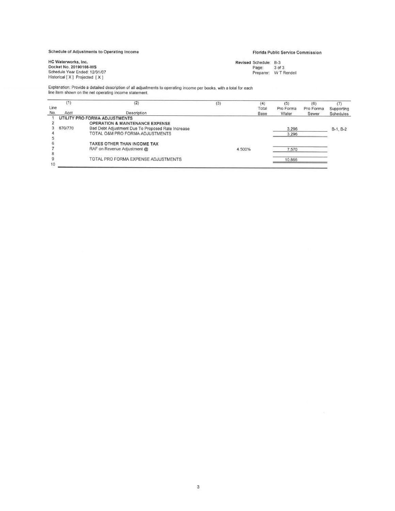Schedule of Adjustments to Operating Income

# Florida Public Service Commission

HC Waterworks, Inc. Docket No. 20190166-WS<br>Schedule Year Ended: 12/31/07<br>Historical [X] Projected [X] Revised Schedule: B-3 Scriedule: B-3<br>Page: 3 of 3<br>Preparer: W T Rendell

Explanation: Provide a detailed description of all adjustments to operating income per books, with a total for each<br>line item shown on the net operating income statement.

|      |         | (2)                                               | $\left(3\right)$ |            |       |           | (6)       |            |
|------|---------|---------------------------------------------------|------------------|------------|-------|-----------|-----------|------------|
| Line |         |                                                   |                  |            | Total | Pro Forma | Pro Forma | Supporting |
| No.  | Acct    | Description                                       |                  |            | Base  | Water     | Sewer     | Schedules  |
|      |         | UTILITY PRO FORMA ADJUSTMENTS                     |                  |            |       |           |           |            |
|      |         | <b>OPERATION &amp; MAINTENANCE EXPENSE</b>        |                  |            |       |           |           |            |
|      | 670/770 | Bad Debt Adjustment Due To Proposed Rate Increase |                  |            |       | 3,296     |           | $B-1, B-2$ |
|      |         | TOTAL O&M PRO FORMA ADJUSTMENTS                   |                  |            |       | 3.296     |           |            |
|      |         |                                                   |                  |            |       |           |           |            |
|      |         | TAXES OTHER THAN INCOME TAX                       |                  | NWALLANDON |       |           |           |            |
|      |         | RAF on Revenue Adjustment @                       |                  | 4.500%     |       | 7,570     |           |            |
|      |         |                                                   |                  |            |       |           |           |            |
|      |         | TOTAL PRO FORMA EXPENSE ADJUSTMENTS               |                  |            |       | 10,866    |           |            |
| 10   |         |                                                   |                  |            |       |           |           |            |